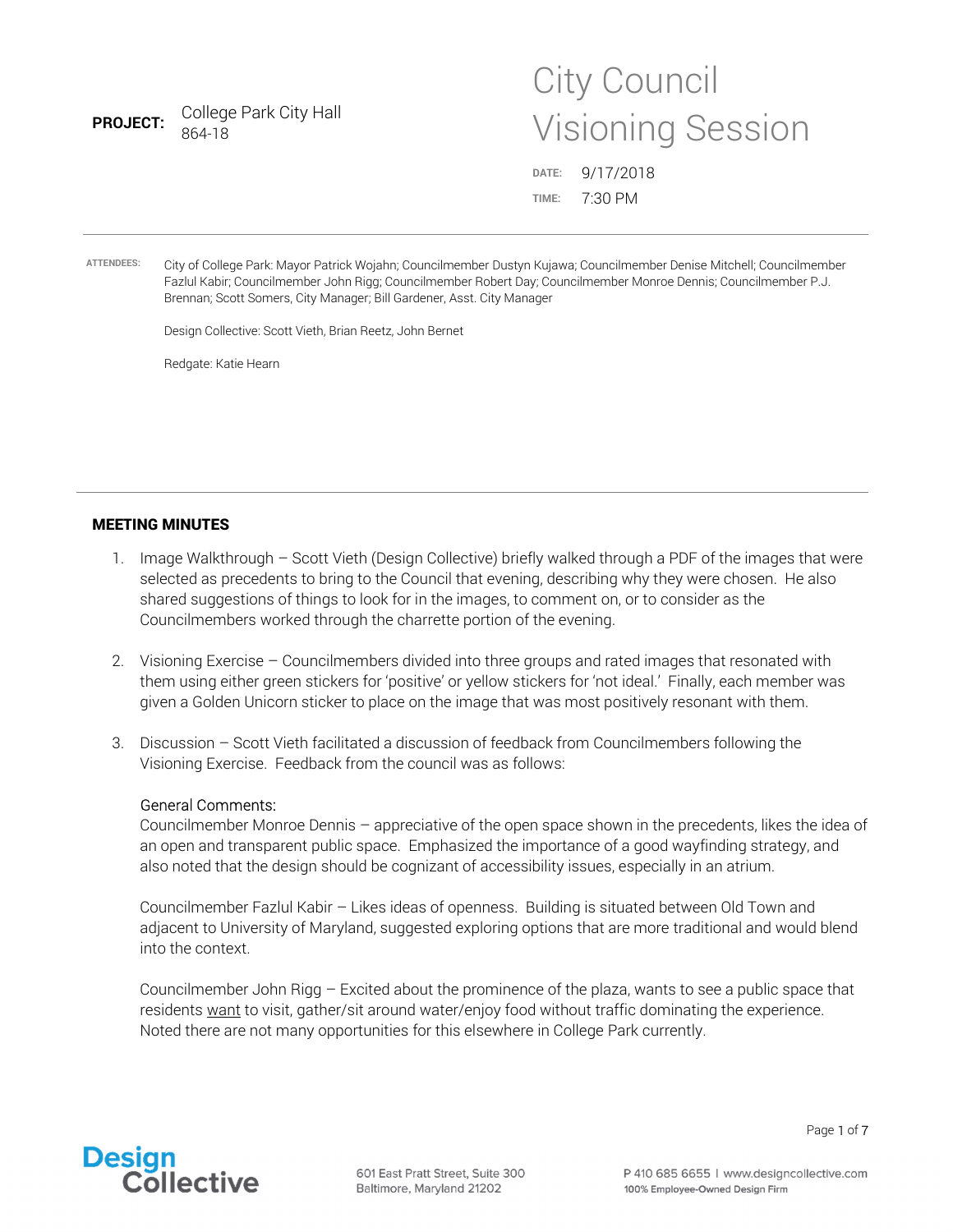| <b>PROJECT:</b>   | College Park City Hall<br>864-18                                                                                                                                                                                                                                                                                                                                                                        |                | <b>Visioning Session</b> |
|-------------------|---------------------------------------------------------------------------------------------------------------------------------------------------------------------------------------------------------------------------------------------------------------------------------------------------------------------------------------------------------------------------------------------------------|----------------|--------------------------|
|                   |                                                                                                                                                                                                                                                                                                                                                                                                         | DATE:<br>TIME: | 9/17/2018<br>7:30 PM     |
| <b>ATTENDEES:</b> | City of College Park: Mayor Patrick Wojahn; Councilmember Dustyn Kujawa; Councilmember Denise Mitchell; Councilmember<br>Fazlul Kabir; Councilmember John Rigg; Councilmember Robert Day; Councilmember Monroe Dennis; Councilmember P.J.<br>Brennan; Scott Somers, City Manager; Bill Gardener, Asst. City Manager<br>Design Collective: Scott Vieth, Brian Reetz, John Bernet<br>Redgate: Katie Hearn |                |                          |

City Council

## MEETING MINUTES

- 1. Image Walkthrough Scott Vieth (Design Collective) briefly walked through a PDF of the images that were selected as precedents to bring to the Council that evening, describing why they were chosen. He also shared suggestions of things to look for in the images, to comment on, or to consider as the Councilmembers worked through the charrette portion of the evening.
- 2. Visioning Exercise Councilmembers divided into three groups and rated images that resonated with them using either green stickers for 'positive' or yellow stickers for 'not ideal.' Finally, each member was given a Golden Unicorn sticker to place on the image that was most positively resonant with them.
- 3. Discussion Scott Vieth facilitated a discussion of feedback from Councilmembers following the Visioning Exercise. Feedback from the council was as follows:

### General Comments:

Councilmember Monroe Dennis – appreciative of the open space shown in the precedents, likes the idea of an open and transparent public space. Emphasized the importance of a good wayfinding strategy, and also noted that the design should be cognizant of accessibility issues, especially in an atrium.

Councilmember Fazlul Kabir – Likes ideas of openness. Building is situated between Old Town and adjacent to University of Maryland, suggested exploring options that are more traditional and would blend into the context.

Councilmember John Rigg – Excited about the prominence of the plaza, wants to see a public space that residents want to visit, gather/sit around water/enjoy food without traffic dominating the experience. Noted there are not many opportunities for this elsewhere in College Park currently.

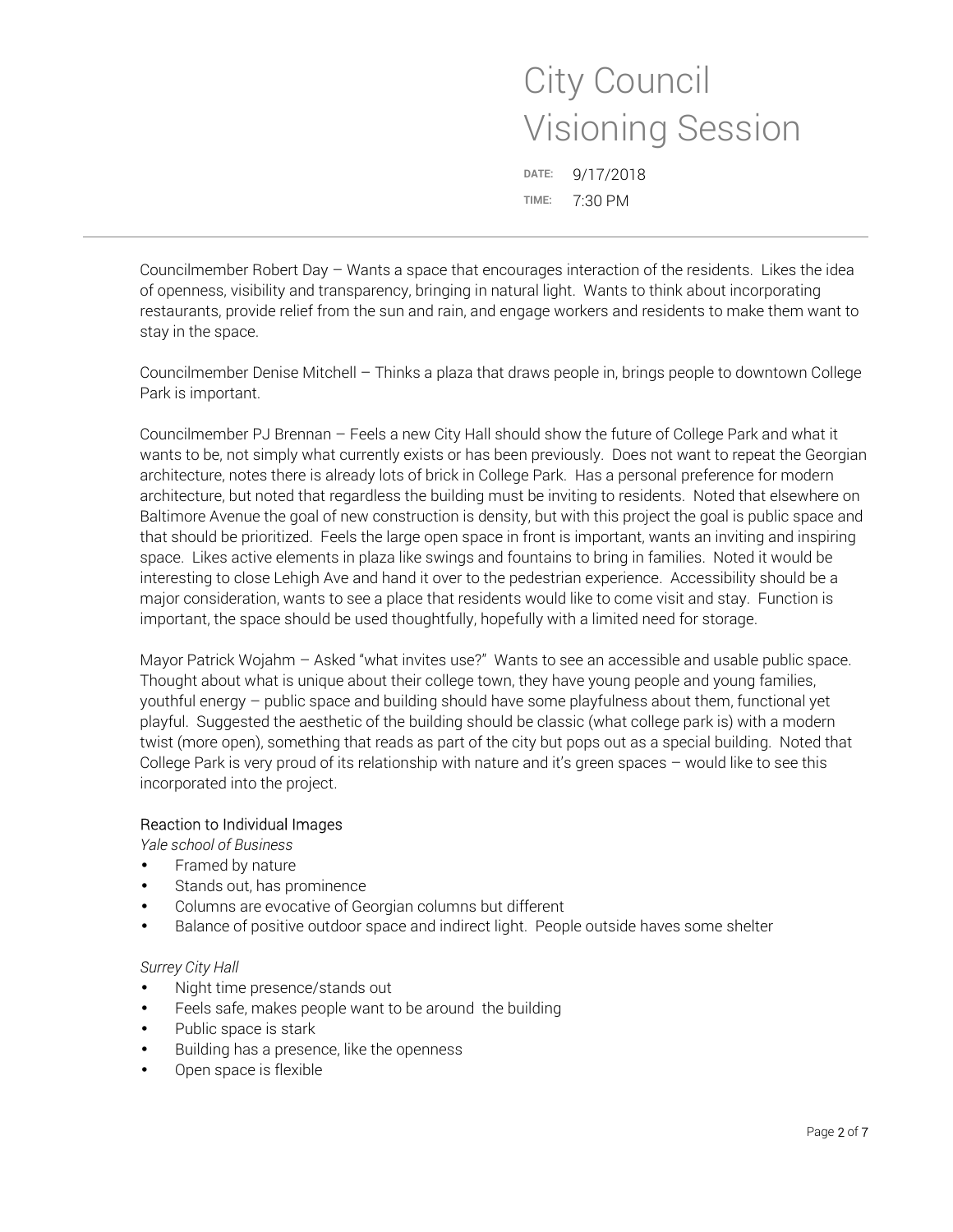X **DATE:** 9/17/2018 **TIME:** 7:30 PM

Councilmember Robert Day – Wants a space that encourages interaction of the residents. Likes the idea of openness, visibility and transparency, bringing in natural light. Wants to think about incorporating restaurants, provide relief from the sun and rain, and engage workers and residents to make them want to stay in the space.

Councilmember Denise Mitchell – Thinks a plaza that draws people in, brings people to downtown College Park is important.

Councilmember PJ Brennan – Feels a new City Hall should show the future of College Park and what it wants to be, not simply what currently exists or has been previously. Does not want to repeat the Georgian architecture, notes there is already lots of brick in College Park. Has a personal preference for modern architecture, but noted that regardless the building must be inviting to residents. Noted that elsewhere on Baltimore Avenue the goal of new construction is density, but with this project the goal is public space and that should be prioritized. Feels the large open space in front is important, wants an inviting and inspiring space. Likes active elements in plaza like swings and fountains to bring in families. Noted it would be interesting to close Lehigh Ave and hand it over to the pedestrian experience. Accessibility should be a major consideration, wants to see a place that residents would like to come visit and stay. Function is important, the space should be used thoughtfully, hopefully with a limited need for storage.

Mayor Patrick Wojahm – Asked "what invites use?" Wants to see an accessible and usable public space. Thought about what is unique about their college town, they have young people and young families, youthful energy – public space and building should have some playfulness about them, functional yet playful. Suggested the aesthetic of the building should be classic (what college park is) with a modern twist (more open), something that reads as part of the city but pops out as a special building. Noted that College Park is very proud of its relationship with nature and it's green spaces – would like to see this incorporated into the project.

# Reaction to Individual Images

*Yale school of Business* 

- Framed by nature
- Stands out, has prominence
- Columns are evocative of Georgian columns but different
- Balance of positive outdoor space and indirect light. People outside haves some shelter

## *Surrey City Hall*

- Night time presence/stands out
- Feels safe, makes people want to be around the building
- Public space is stark
- Building has a presence, like the openness
- Open space is flexible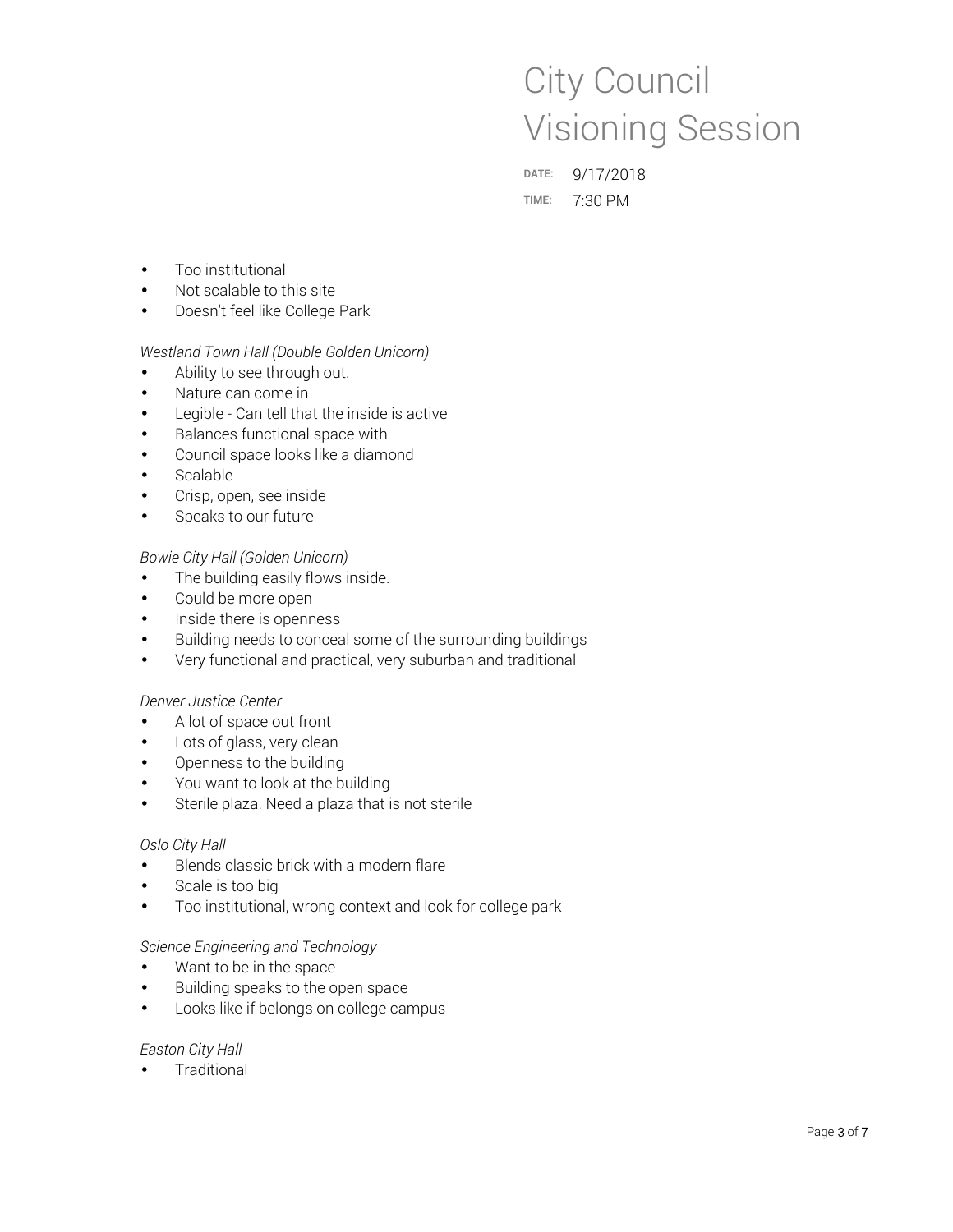X **DATE:** 9/17/2018 **TIME:** 7:30 PM

- Too institutional
- Not scalable to this site
- Doesn't feel like College Park

### *Westland Town Hall (Double Golden Unicorn)*

- Ability to see through out.
- Nature can come in
- Legible Can tell that the inside is active
- Balances functional space with
- Council space looks like a diamond
- **Scalable**
- Crisp, open, see inside
- Speaks to our future

### *Bowie City Hall (Golden Unicorn)*

- The building easily flows inside.
- Could be more open
- Inside there is openness
- Building needs to conceal some of the surrounding buildings
- Very functional and practical, very suburban and traditional

### *Denver Justice Center*

- A lot of space out front
- Lots of glass, very clean
- Openness to the building
- You want to look at the building
- Sterile plaza. Need a plaza that is not sterile

### *Oslo City Hall*

- Blends classic brick with a modern flare
- Scale is too big
- Too institutional, wrong context and look for college park

### *Science Engineering and Technology*

- Want to be in the space
- Building speaks to the open space
- Looks like if belongs on college campus

### *Easton City Hall*

**Traditional**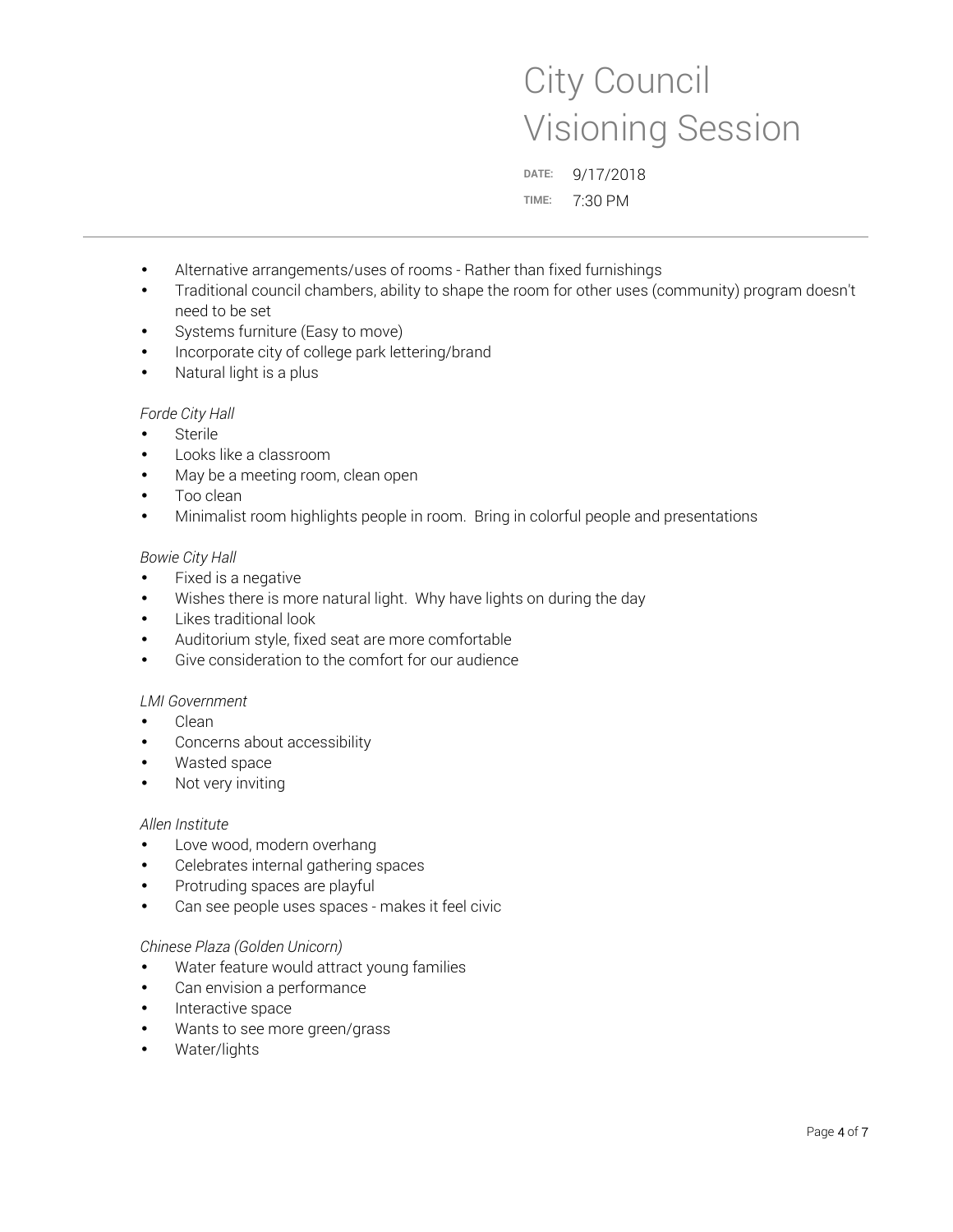X **DATE:** 9/17/2018 **TIME:** 7:30 PM

- Alternative arrangements/uses of rooms Rather than fixed furnishings
- Traditional council chambers, ability to shape the room for other uses (community) program doesn't need to be set
- Systems furniture (Easy to move)
- Incorporate city of college park lettering/brand
- Natural light is a plus

### *Forde City Hall*

- **Sterile**
- Looks like a classroom
- May be a meeting room, clean open
- Too clean
- Minimalist room highlights people in room. Bring in colorful people and presentations

### *Bowie City Hall*

- Fixed is a negative
- Wishes there is more natural light. Why have lights on during the day
- Likes traditional look
- Auditorium style, fixed seat are more comfortable
- Give consideration to the comfort for our audience

### *LMI Government*

- Clean
- Concerns about accessibility
- Wasted space
- Not very inviting

### *Allen Institute*

- Love wood, modern overhang
- Celebrates internal gathering spaces
- Protruding spaces are playful
- Can see people uses spaces makes it feel civic

### *Chinese Plaza (Golden Unicorn)*

- Water feature would attract young families
- Can envision a performance
- Interactive space
- Wants to see more green/grass
- Water/lights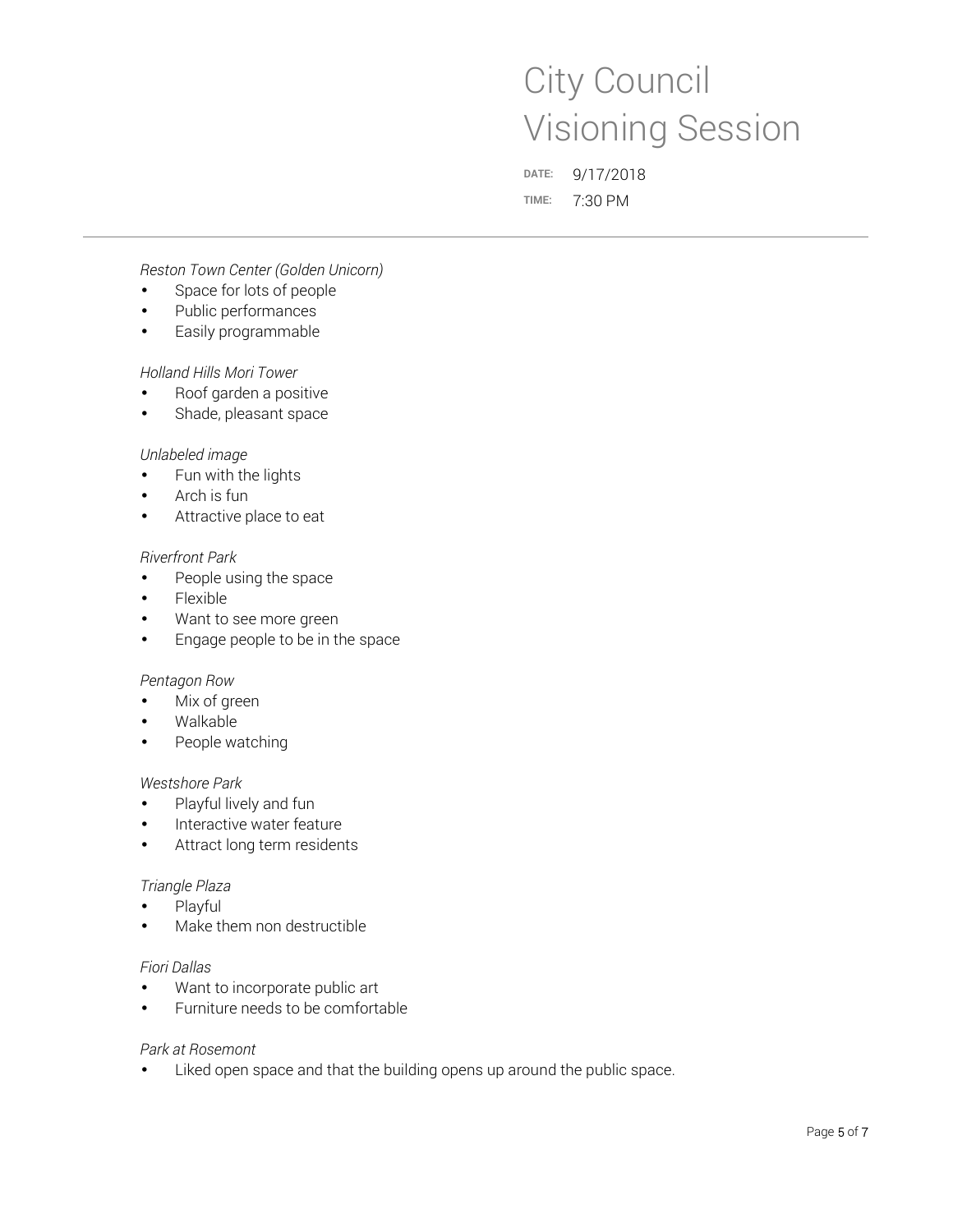X **DATE:** 9/17/2018 **TIME:** 7:30 PM

*Reston Town Center (Golden Unicorn)* 

- Space for lots of people
- Public performances
- Easily programmable

### *Holland Hills Mori Tower*

- Roof garden a positive
- Shade, pleasant space

### *Unlabeled image*

- Fun with the lights
- Arch is fun
- Attractive place to eat

### *Riverfront Park*

- People using the space
- Flexible
- Want to see more green
- Engage people to be in the space

### *Pentagon Row*

- Mix of green
- Walkable
- People watching

### *Westshore Park*

- Playful lively and fun
- Interactive water feature
- Attract long term residents

### *Triangle Plaza*

- Playful
- Make them non destructible

### *Fiori Dallas*

- Want to incorporate public art
- Furniture needs to be comfortable

### *Park at Rosemont*

• Liked open space and that the building opens up around the public space.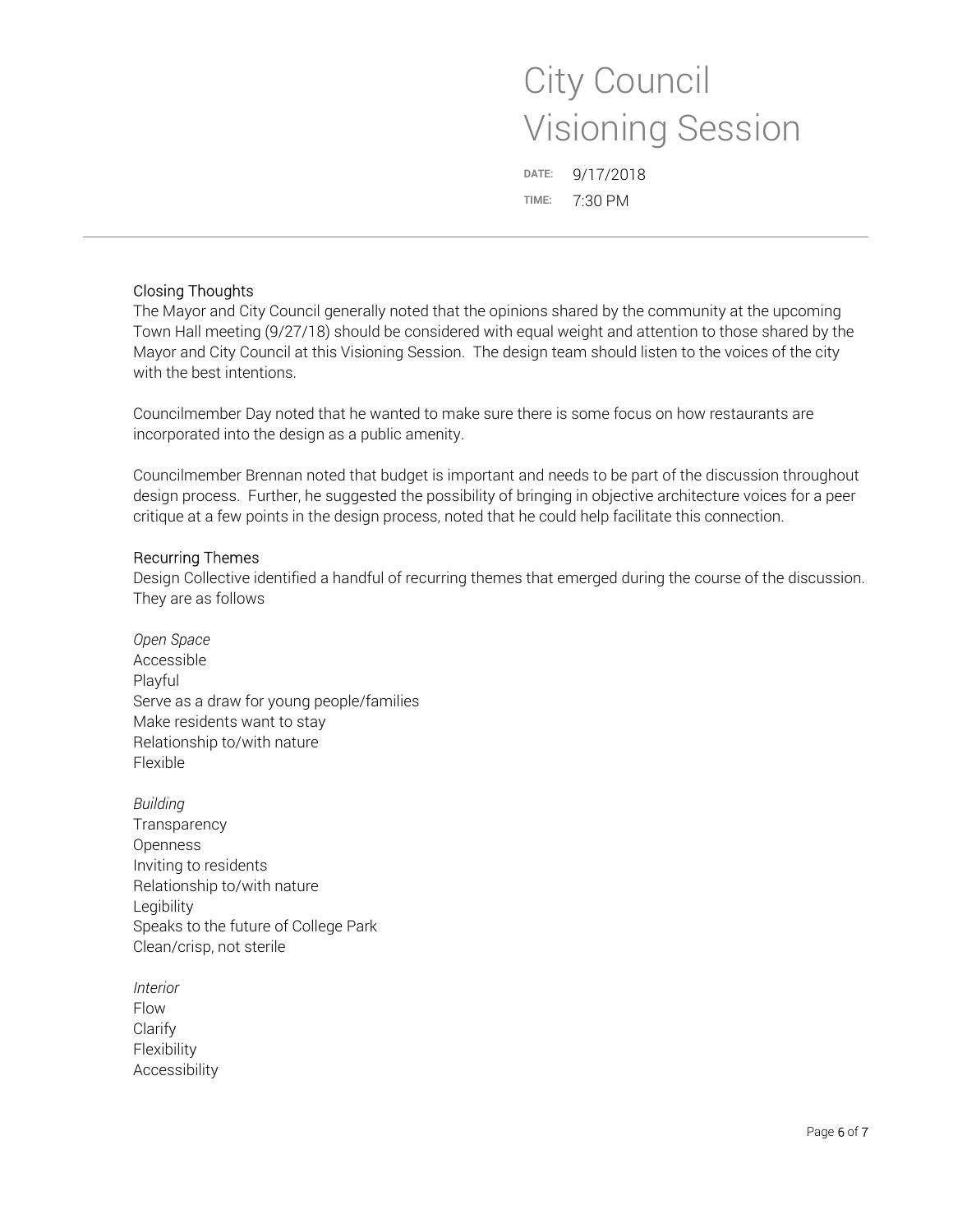X **DATE:** 9/17/2018 **TIME:** 7:30 PM

## Closing Thoughts

The Mayor and City Council generally noted that the opinions shared by the community at the upcoming Town Hall meeting (9/27/18) should be considered with equal weight and attention to those shared by the Mayor and City Council at this Visioning Session. The design team should listen to the voices of the city with the best intentions.

Councilmember Day noted that he wanted to make sure there is some focus on how restaurants are incorporated into the design as a public amenity.

Councilmember Brennan noted that budget is important and needs to be part of the discussion throughout design process. Further, he suggested the possibility of bringing in objective architecture voices for a peer critique at a few points in the design process, noted that he could help facilitate this connection.

## Recurring Themes

Design Collective identified a handful of recurring themes that emerged during the course of the discussion. They are as follows

*Open Space*  Accessible Playful Serve as a draw for young people/families Make residents want to stay Relationship to/with nature Flexible

*Building*  **Transparency** Openness Inviting to residents Relationship to/with nature Legibility Speaks to the future of College Park Clean/crisp, not sterile

*Interior*  Flow **Clarify** Flexibility Accessibility